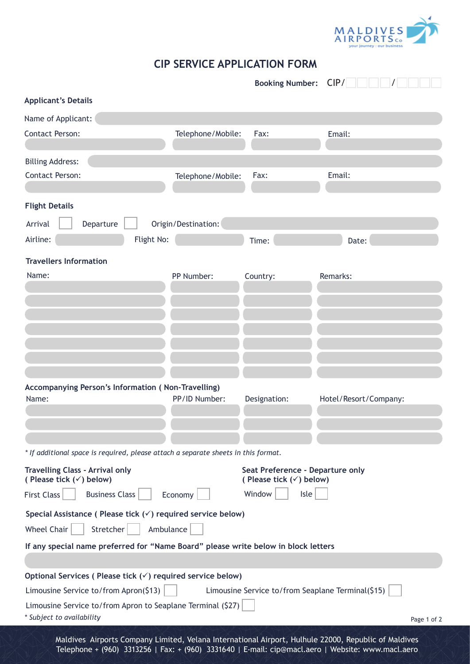

## **CIP SERVICE APPLICATION FORM**

|                                                                                                                                                                     |                     | <b>Booking Number:</b>                                                 | CIP/                  |  |  |  |
|---------------------------------------------------------------------------------------------------------------------------------------------------------------------|---------------------|------------------------------------------------------------------------|-----------------------|--|--|--|
| <b>Applicant's Details</b>                                                                                                                                          |                     |                                                                        |                       |  |  |  |
| Name of Applicant:                                                                                                                                                  |                     |                                                                        |                       |  |  |  |
| <b>Contact Person:</b>                                                                                                                                              | Telephone/Mobile:   | Fax:                                                                   | Email:                |  |  |  |
|                                                                                                                                                                     |                     |                                                                        |                       |  |  |  |
| <b>Billing Address:</b><br><b>Contact Person:</b>                                                                                                                   |                     | Fax:                                                                   | Email:                |  |  |  |
|                                                                                                                                                                     | Telephone/Mobile:   |                                                                        |                       |  |  |  |
| <b>Flight Details</b>                                                                                                                                               |                     |                                                                        |                       |  |  |  |
| Departure<br>Arrival                                                                                                                                                | Origin/Destination: |                                                                        |                       |  |  |  |
| Airline:<br>Flight No:                                                                                                                                              |                     | Time:                                                                  | Date:                 |  |  |  |
| <b>Travellers Information</b>                                                                                                                                       |                     |                                                                        |                       |  |  |  |
| Name:                                                                                                                                                               | PP Number:          | Country:                                                               | Remarks:              |  |  |  |
|                                                                                                                                                                     |                     |                                                                        |                       |  |  |  |
|                                                                                                                                                                     |                     |                                                                        |                       |  |  |  |
|                                                                                                                                                                     |                     |                                                                        |                       |  |  |  |
|                                                                                                                                                                     |                     |                                                                        |                       |  |  |  |
|                                                                                                                                                                     |                     |                                                                        |                       |  |  |  |
|                                                                                                                                                                     |                     |                                                                        |                       |  |  |  |
| Accompanying Person's Information (Non-Travelling)                                                                                                                  |                     |                                                                        |                       |  |  |  |
| Name:                                                                                                                                                               | PP/ID Number:       | Designation:                                                           | Hotel/Resort/Company: |  |  |  |
|                                                                                                                                                                     |                     |                                                                        |                       |  |  |  |
|                                                                                                                                                                     |                     |                                                                        |                       |  |  |  |
| * If additional space is required, please attach a separate sheets in this format.                                                                                  |                     |                                                                        |                       |  |  |  |
| <b>Travelling Class - Arrival only</b><br>(Please tick $(\checkmark)$ below)                                                                                        |                     | Seat Preference - Departure only<br>(Please tick $(\checkmark)$ below) |                       |  |  |  |
| <b>Business Class</b><br><b>First Class</b>                                                                                                                         | Economy             | Window<br>Isle                                                         |                       |  |  |  |
| Special Assistance (Please tick $(\check{\phantom{a}})$ required service below)                                                                                     |                     |                                                                        |                       |  |  |  |
| <b>Wheel Chair</b><br>Stretcher<br>Ambulance                                                                                                                        |                     |                                                                        |                       |  |  |  |
| If any special name preferred for "Name Board" please write below in block letters                                                                                  |                     |                                                                        |                       |  |  |  |
|                                                                                                                                                                     |                     |                                                                        |                       |  |  |  |
| Optional Services (Please tick $(\checkmark)$ required service below)<br>Limousine Service to/from Apron(\$13)<br>Limousine Service to/from Seaplane Terminal(\$15) |                     |                                                                        |                       |  |  |  |
| Limousine Service to/from Apron to Seaplane Terminal (\$27)                                                                                                         |                     |                                                                        |                       |  |  |  |
| * Subject to availability                                                                                                                                           |                     |                                                                        | Page 1 of 2           |  |  |  |
| Maldives Airports Company Limited Velana International Airport Hulbule 22000, Penublic of Maldives                                                                  |                     |                                                                        |                       |  |  |  |

Maldives Airports Company Limited, Velana International Airport, Hulhule 22000, Republic of Maldives Telephone + (960) 3313256 | Fax: + (960) 3331640 | E-mail: cip@macl.aero | Website: www.macl.aero